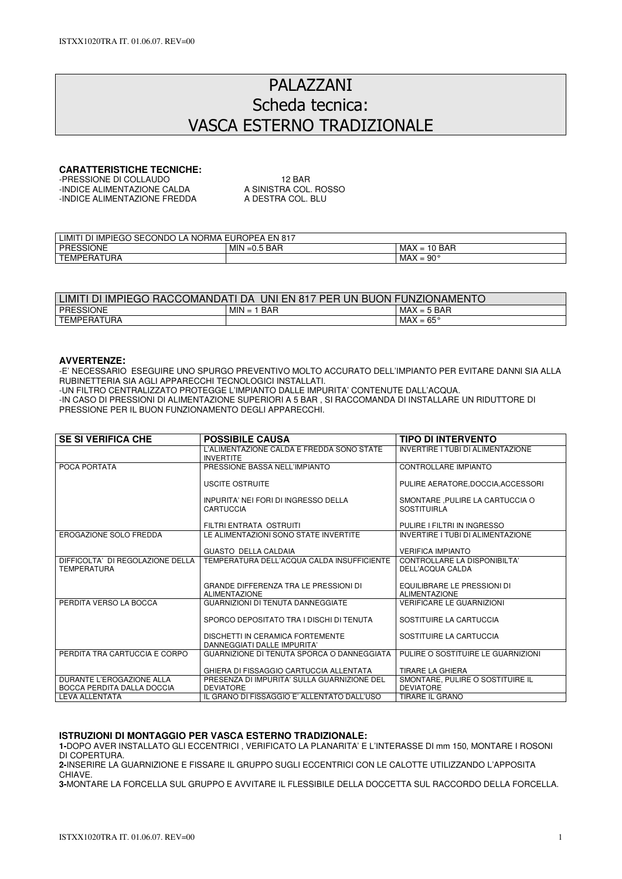# PALAZZANI Scheda tecnica: VASCA ESTERNO TRADIZIONALE

## **CARATTERISTICHE TECNICHE:**

| -PRESSIONE DI COLLAUDO       | 12 RAR                |
|------------------------------|-----------------------|
| -INDICE ALIMENTAZIONE CALDA  | A SINISTRA COL. ROSSO |
| -INDICE ALIMENTAZIONE FREDDA | A DESTRA COL. BLU     |
|                              |                       |

| IMPIEGO SECONDO<br><b>'ORMA</b><br>EN<br>LIMIT<br>$\sqrt{817}$<br>∽<br>`NU<br>וע<br>$\boldsymbol{\mu}$ |                       |                                           |  |  |
|--------------------------------------------------------------------------------------------------------|-----------------------|-------------------------------------------|--|--|
| <b>PRESSIONE</b>                                                                                       | MIN<br>.5 BAR<br>=∪.o | $\sim$<br><b>BAR</b><br>MAX.<br>$=$<br>טו |  |  |
| TEMPERATURA<br><b>TEM</b>                                                                              |                       | <b></b><br>$90^{\circ}$<br>MAX<br>-<br>=  |  |  |

| . FN 817<br>ᄭᅚᄉ<br>IN<br>COMANDAT'<br><b>PFR</b><br>ЧN.<br>_IM!`<br>DA<br>JNI<br><b>ONAMENT</b><br>AACT<br>BU0<br><b>IMPIEGO</b><br>ЖI<br>ו י<br>וט<br>╰ |                          |                            |  |  |
|----------------------------------------------------------------------------------------------------------------------------------------------------------|--------------------------|----------------------------|--|--|
| <b>PRESSIONE</b>                                                                                                                                         | <b>BAR</b><br>MIN<br>$=$ | i BAR<br>MAX<br>$= 5$      |  |  |
| TEMPERATURA                                                                                                                                              |                          | $65^{\circ}$<br>MAX<br>$=$ |  |  |

### **AVVERTENZE:**

-E' NECESSARIO ESEGUIRE UNO SPURGO PREVENTIVO MOLTO ACCURATO DELL'IMPIANTO PER EVITARE DANNI SIA ALLA RUBINETTERIA SIA AGLI APPARECCHI TECNOLOGICI INSTALLATI.

-UN FILTRO CENTRALIZZATO PROTEGGE L'IMPIANTO DALLE IMPURITA' CONTENUTE DALL'ACQUA.

-IN CASO DI PRESSIONI DI ALIMENTAZIONE SUPERIORI A 5 BAR , SI RACCOMANDA DI INSTALLARE UN RIDUTTORE DI PRESSIONE PER IL BUON FUNZIONAMENTO DEGLI APPARECCHI.

| <b>SE SI VERIFICA CHE</b>                              | <b>POSSIBILE CAUSA</b>                                               | TIPO DI INTERVENTO                                     |
|--------------------------------------------------------|----------------------------------------------------------------------|--------------------------------------------------------|
|                                                        | L'ALIMENTAZIONE CALDA E FREDDA SONO STATE<br><b>INVERTITE</b>        | INVERTIRE I TUBI DI ALIMENTAZIONE                      |
| POCA PORTATA                                           | PRESSIONE BASSA NELL'IMPIANTO                                        | <b>CONTROLLARE IMPIANTO</b>                            |
|                                                        | USCITE OSTRUITE                                                      | PULIRE AERATORE.DOCCIA.ACCESSORI                       |
|                                                        | INPURITA' NEI FORI DI INGRESSO DELLA<br>CARTUCCIA                    | SMONTARE , PULIRE LA CARTUCCIA O<br><b>SOSTITUIRLA</b> |
|                                                        | FILTRI ENTRATA OSTRUITI                                              | PULIRE I FILTRI IN INGRESSO                            |
| EROGAZIONE SOLO FREDDA                                 | LE ALIMENTAZIONI SONO STATE INVERTITE                                | INVERTIRE I TUBI DI ALIMENTAZIONE                      |
|                                                        | <b>GUASTO DELLA CALDAIA</b>                                          | <b>VERIFICA IMPIANTO</b>                               |
| DIFFICOLTA' DI REGOLAZIONE DELLA<br><b>TEMPERATURA</b> | TEMPERATURA DELL'ACQUA CALDA INSUFFICIENTE                           | CONTROLLARE LA DISPONIBILTA'<br>DELL'ACQUA CALDA       |
|                                                        | <b>GRANDE DIFFERENZA TRA LE PRESSIONI DI</b><br><b>ALIMENTAZIONE</b> | EQUILIBRARE LE PRESSIONI DI<br><b>ALIMENTAZIONE</b>    |
| PERDITA VERSO LA BOCCA                                 | <b>GUARNIZIONI DI TENUTA DANNEGGIATE</b>                             | <b>VERIFICARE LE GUARNIZIONI</b>                       |
|                                                        | SPORCO DEPOSITATO TRA I DISCHI DI TENUTA                             | SOSTITUIRE LA CARTUCCIA                                |
|                                                        | DISCHETTI IN CERAMICA FORTEMENTE<br>DANNEGGIATI DALLE IMPURITA'      | SOSTITUIRE LA CARTUCCIA                                |
| PERDITA TRA CARTUCCIA E CORPO                          | GUARNIZIONE DI TENUTA SPORCA O DANNEGGIATA                           | PULIRE O SOSTITUIRE LE GUARNIZIONI                     |
|                                                        | GHIERA DI FISSAGGIO CARTUCCIA ALLENTATA                              | TIRARE LA GHIERA                                       |
| DURANTE L'EROGAZIONE ALLA                              | PRESENZA DI IMPURITA' SULLA GUARNIZIONE DEL                          | SMONTARE, PULIRE O SOSTITUIRE IL                       |
| BOCCA PERDITA DALLA DOCCIA<br><b>LEVA ALLENTATA</b>    | <b>DEVIATORE</b><br>IL GRANO DI FISSAGGIO E' ALLENTATO DALL'USO      | <b>DEVIATORE</b><br><b>TIRARE IL GRANO</b>             |
|                                                        |                                                                      |                                                        |

### **ISTRUZIONI DI MONTAGGIO PER VASCA ESTERNO TRADIZIONALE:**

**1-**DOPO AVER INSTALLATO GLI ECCENTRICI , VERIFICATO LA PLANARITA' E L'INTERASSE DI mm 150, MONTARE I ROSONI DI COPERTURA.

**2-**INSERIRE LA GUARNIZIONE E FISSARE IL GRUPPO SUGLI ECCENTRICI CON LE CALOTTE UTILIZZANDO L'APPOSITA CHIAVE.

**3-**MONTARE LA FORCELLA SUL GRUPPO E AVVITARE IL FLESSIBILE DELLA DOCCETTA SUL RACCORDO DELLA FORCELLA.